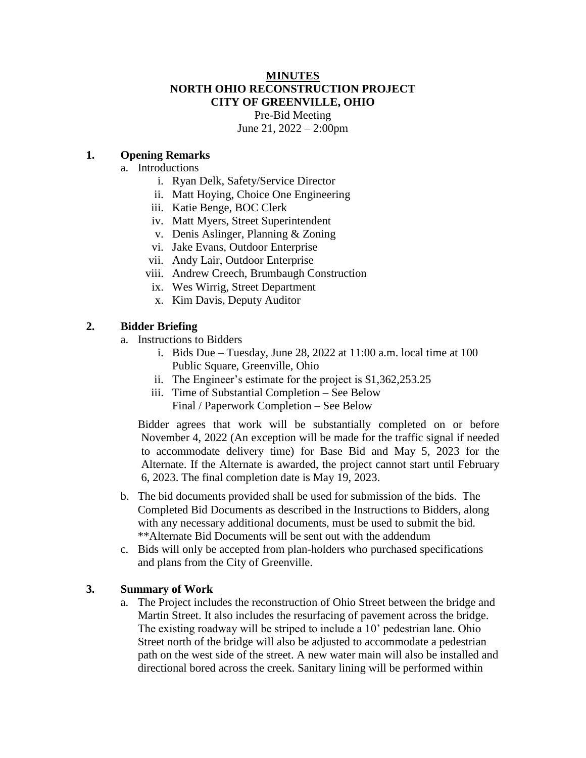### **MINUTES NORTH OHIO RECONSTRUCTION PROJECT CITY OF GREENVILLE, OHIO**

Pre-Bid Meeting June 21, 2022 – 2:00pm

### **1. Opening Remarks**

#### a. Introductions

- i. Ryan Delk, Safety/Service Director
- ii. Matt Hoying, Choice One Engineering
- iii. Katie Benge, BOC Clerk
- iv. Matt Myers, Street Superintendent
- v. Denis Aslinger, Planning & Zoning
- vi. Jake Evans, Outdoor Enterprise
- vii. Andy Lair, Outdoor Enterprise
- viii. Andrew Creech, Brumbaugh Construction
- ix. Wes Wirrig, Street Department
- x. Kim Davis, Deputy Auditor

### **2. Bidder Briefing**

- a. Instructions to Bidders
	- i. Bids Due Tuesday, June 28, 2022 at 11:00 a.m. local time at 100 Public Square, Greenville, Ohio
	- ii. The Engineer's estimate for the project is \$1,362,253.25
	- iii. Time of Substantial Completion See Below Final / Paperwork Completion – See Below

Bidder agrees that work will be substantially completed on or before November 4, 2022 (An exception will be made for the traffic signal if needed to accommodate delivery time) for Base Bid and May 5, 2023 for the Alternate. If the Alternate is awarded, the project cannot start until February 6, 2023. The final completion date is May 19, 2023.

- b. The bid documents provided shall be used for submission of the bids. The Completed Bid Documents as described in the Instructions to Bidders, along with any necessary additional documents, must be used to submit the bid. \*\*Alternate Bid Documents will be sent out with the addendum
- c. Bids will only be accepted from plan-holders who purchased specifications and plans from the City of Greenville.

### **3. Summary of Work**

a. The Project includes the reconstruction of Ohio Street between the bridge and Martin Street. It also includes the resurfacing of pavement across the bridge. The existing roadway will be striped to include a 10' pedestrian lane. Ohio Street north of the bridge will also be adjusted to accommodate a pedestrian path on the west side of the street. A new water main will also be installed and directional bored across the creek. Sanitary lining will be performed within